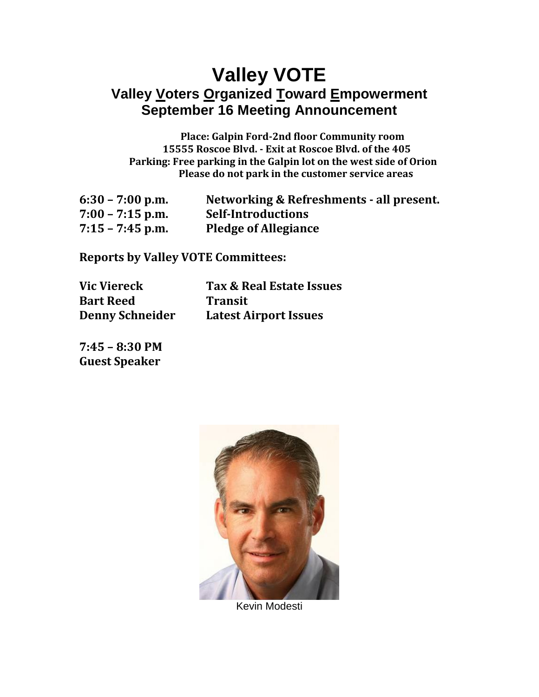## **Valley VOTE Valley Voters Organized Toward Empowerment September 16 Meeting Announcement**

**Place: Galpin Ford-2nd floor Community room 15555 Roscoe Blvd. - Exit at Roscoe Blvd. of the 405 Parking: Free parking in the Galpin lot on the west side of Orion Please do not park in the customer service areas**

| $6:30 - 7:00$ p.m. | Networking & Refreshments - all present. |
|--------------------|------------------------------------------|
| $7:00 - 7:15$ p.m. | <b>Self-Introductions</b>                |
| $7:15 - 7:45$ p.m. | <b>Pledge of Allegiance</b>              |

**Reports by Valley VOTE Committees:**

| <b>Vic Viereck</b>     |    |
|------------------------|----|
| <b>Bart Reed</b>       |    |
| <b>Denny Schneider</b> | La |

**Vic Viereck Tax & Real Estate Issues Pansit Denny Schneider Latest Airport Issues**

**7:45 – 8:30 PM Guest Speaker**



Kevin Modesti